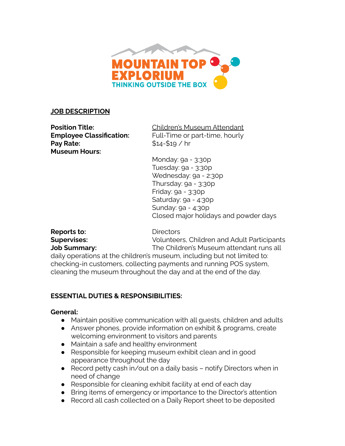

#### **JOB DESCRIPTION**

**Pay Rate:**  $$14-$19 / hr$ **Museum Hours:** 

**Position Title:** Children's Museum Attendant **Employee Classification:** Full-Time or part-time, hourly

> Monday: 9a - 3:30p Tuesday: 9a - 3:30p Wednesday: 9a - 2:30p Thursday: 9a - 3:30p Friday: 9a - 3:30p Saturday: 9a - 4:30p Sunday: 9a - 4:30p Closed major holidays and powder days

**Reports to:** Directors

**Supervises:** Volunteers, Children and Adult Participants **Job Summary:** The Children's Museum attendant runs all

daily operations at the children's museum, including but not limited to: checking-in customers, collecting payments and running POS system, cleaning the museum throughout the day and at the end of the day.

# **ESSENTIAL DUTIES & RESPONSIBILITIES:**

#### **General:**

- Maintain positive communication with all guests, children and adults
- Answer phones, provide information on exhibit & programs, create welcoming environment to visitors and parents
- Maintain a safe and healthy environment
- Responsible for keeping museum exhibit clean and in good appearance throughout the day
- Record petty cash in/out on a daily basis notify Directors when in need of change
- Responsible for cleaning exhibit facility at end of each day
- Bring items of emergency or importance to the Director's attention
- Record all cash collected on a Daily Report sheet to be deposited